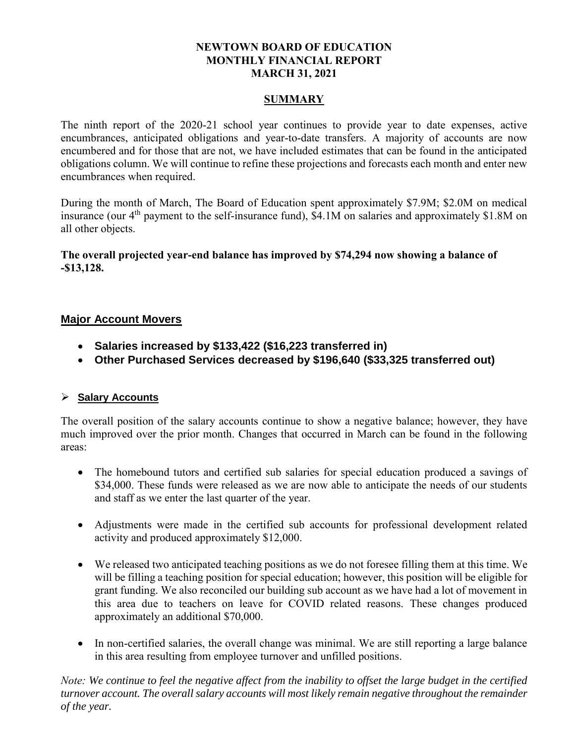# **NEWTOWN BOARD OF EDUCATION MONTHLY FINANCIAL REPORT MARCH 31, 2021**

# **SUMMARY**

The ninth report of the 2020-21 school year continues to provide year to date expenses, active encumbrances, anticipated obligations and year-to-date transfers. A majority of accounts are now encumbered and for those that are not, we have included estimates that can be found in the anticipated obligations column. We will continue to refine these projections and forecasts each month and enter new encumbrances when required.

During the month of March, The Board of Education spent approximately \$7.9M; \$2.0M on medical insurance (our  $4<sup>th</sup>$  payment to the self-insurance fund), \$4.1M on salaries and approximately \$1.8M on all other objects.

**The overall projected year-end balance has improved by \$74,294 now showing a balance of -\$13,128.** 

# **Major Account Movers**

- **Salaries increased by \$133,422 (\$16,223 transferred in)**
- **Other Purchased Services decreased by \$196,640 (\$33,325 transferred out)**

# **Salary Accounts**

The overall position of the salary accounts continue to show a negative balance; however, they have much improved over the prior month. Changes that occurred in March can be found in the following areas:

- The homebound tutors and certified sub salaries for special education produced a savings of \$34,000. These funds were released as we are now able to anticipate the needs of our students and staff as we enter the last quarter of the year.
- Adjustments were made in the certified sub accounts for professional development related activity and produced approximately \$12,000.
- We released two anticipated teaching positions as we do not foresee filling them at this time. We will be filling a teaching position for special education; however, this position will be eligible for grant funding. We also reconciled our building sub account as we have had a lot of movement in this area due to teachers on leave for COVID related reasons. These changes produced approximately an additional \$70,000.
- In non-certified salaries, the overall change was minimal. We are still reporting a large balance in this area resulting from employee turnover and unfilled positions.

*Note: We continue to feel the negative affect from the inability to offset the large budget in the certified turnover account. The overall salary accounts will most likely remain negative throughout the remainder of the year.*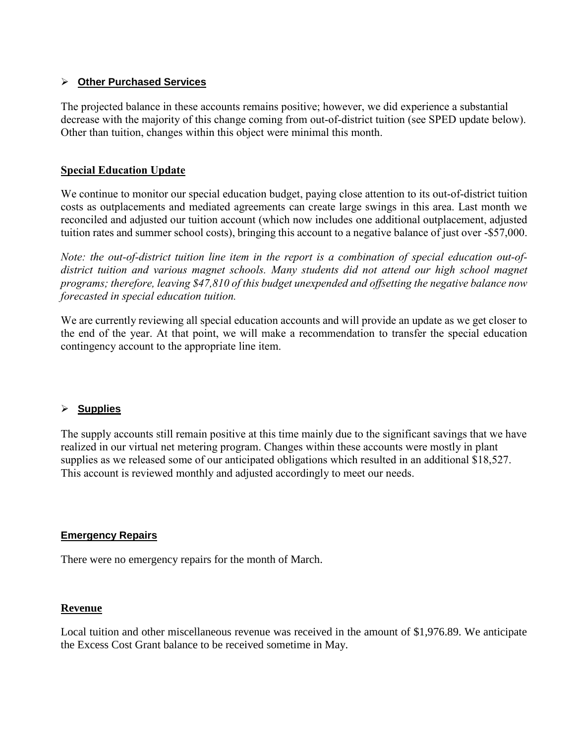# **Other Purchased Services**

The projected balance in these accounts remains positive; however, we did experience a substantial decrease with the majority of this change coming from out-of-district tuition (see SPED update below). Other than tuition, changes within this object were minimal this month.

# **Special Education Update**

We continue to monitor our special education budget, paying close attention to its out-of-district tuition costs as outplacements and mediated agreements can create large swings in this area. Last month we reconciled and adjusted our tuition account (which now includes one additional outplacement, adjusted tuition rates and summer school costs), bringing this account to a negative balance of just over -\$57,000.

*Note: the out-of-district tuition line item in the report is a combination of special education out-ofdistrict tuition and various magnet schools. Many students did not attend our high school magnet programs; therefore, leaving \$47,810 of this budget unexpended and offsetting the negative balance now forecasted in special education tuition.*

We are currently reviewing all special education accounts and will provide an update as we get closer to the end of the year. At that point, we will make a recommendation to transfer the special education contingency account to the appropriate line item.

# **Supplies**

The supply accounts still remain positive at this time mainly due to the significant savings that we have realized in our virtual net metering program. Changes within these accounts were mostly in plant supplies as we released some of our anticipated obligations which resulted in an additional \$18,527. This account is reviewed monthly and adjusted accordingly to meet our needs.

#### **Emergency Repairs**

There were no emergency repairs for the month of March.

#### **Revenue**

Local tuition and other miscellaneous revenue was received in the amount of \$1,976.89. We anticipate the Excess Cost Grant balance to be received sometime in May.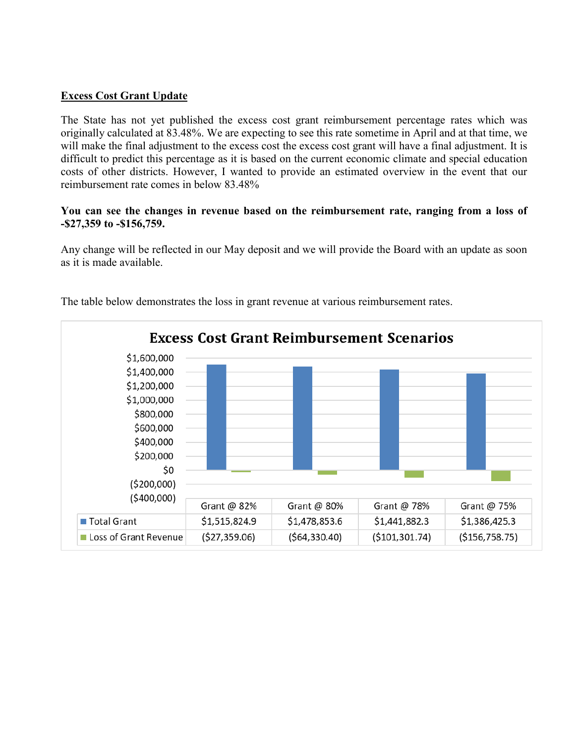# **Excess Cost Grant Update**

The State has not yet published the excess cost grant reimbursement percentage rates which was originally calculated at 83.48%. We are expecting to see this rate sometime in April and at that time, we will make the final adjustment to the excess cost the excess cost grant will have a final adjustment. It is difficult to predict this percentage as it is based on the current economic climate and special education costs of other districts. However, I wanted to provide an estimated overview in the event that our reimbursement rate comes in below 83.48%

### **You can see the changes in revenue based on the reimbursement rate, ranging from a loss of -\$27,359 to -\$156,759.**

Any change will be reflected in our May deposit and we will provide the Board with an update as soon as it is made available.



The table below demonstrates the loss in grant revenue at various reimbursement rates.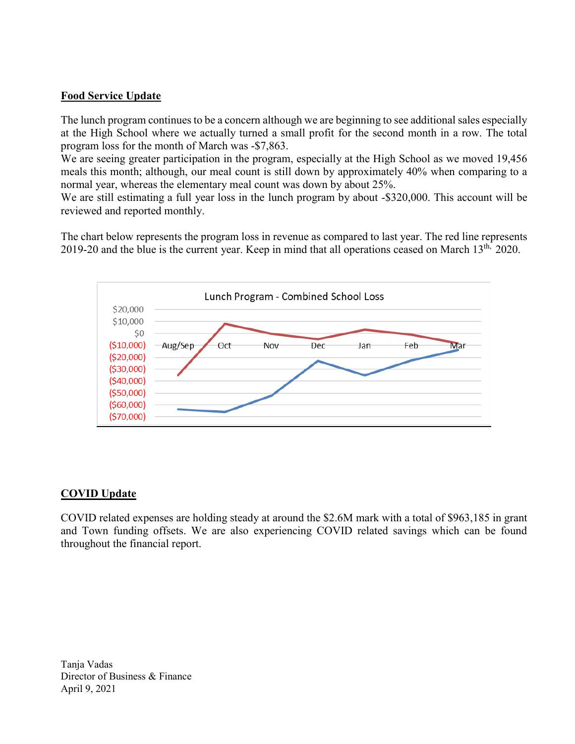# **Food Service Update**

The lunch program continues to be a concern although we are beginning to see additional sales especially at the High School where we actually turned a small profit for the second month in a row. The total program loss for the month of March was -\$7,863.

We are seeing greater participation in the program, especially at the High School as we moved 19,456 meals this month; although, our meal count is still down by approximately 40% when comparing to a normal year, whereas the elementary meal count was down by about 25%.

We are still estimating a full year loss in the lunch program by about -\$320,000. This account will be reviewed and reported monthly.

The chart below represents the program loss in revenue as compared to last year. The red line represents 2019-20 and the blue is the current year. Keep in mind that all operations ceased on March 13<sup>th,</sup> 2020.



# **COVID Update**

COVID related expenses are holding steady at around the \$2.6M mark with a total of \$963,185 in grant and Town funding offsets. We are also experiencing COVID related savings which can be found throughout the financial report.

Tanja Vadas Director of Business & Finance April 9, 2021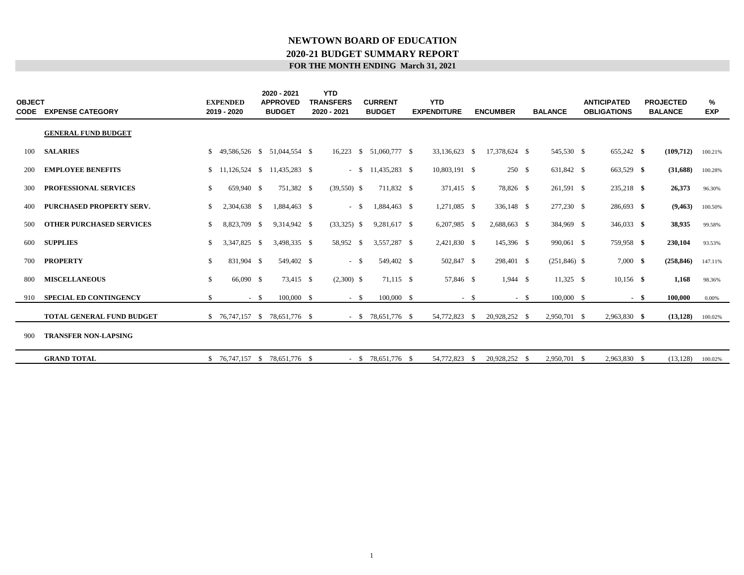#### **FOR THE MONTH ENDING March 31, 2021 2020-21 BUDGET SUMMARY REPORT NEWTOWN BOARD OF EDUCATION**

| <b>OBJECT</b><br><b>CODE</b> | <b>EXPENSE CATEGORY</b>          |    | <b>EXPENDED</b><br>2019 - 2020 | 2020 - 2021<br><b>APPROVED</b><br><b>BUDGET</b> | <b>YTD</b><br><b>TRANSFERS</b><br>2020 - 2021 | <b>CURRENT</b><br><b>BUDGET</b> | <b>YTD</b><br><b>EXPENDITURE</b> |      | <b>ENCUMBER</b> | <b>BALANCE</b> | <b>ANTICIPATED</b><br><b>OBLIGATIONS</b> |      | <b>PROJECTED</b><br><b>BALANCE</b> | %<br><b>EXP</b> |
|------------------------------|----------------------------------|----|--------------------------------|-------------------------------------------------|-----------------------------------------------|---------------------------------|----------------------------------|------|-----------------|----------------|------------------------------------------|------|------------------------------------|-----------------|
|                              | <b>GENERAL FUND BUDGET</b>       |    |                                |                                                 |                                               |                                 |                                  |      |                 |                |                                          |      |                                    |                 |
| 100                          | <b>SALARIES</b>                  | S. |                                | 49.586.526 \$ 51.044.554 \$                     | 16,223                                        | $$51,060,777$ \$                | 33,136,623 \$                    |      | 17,378,624 \$   | 545,530 \$     | 655,242 \$                               |      | (109, 712)                         | 100.21%         |
| 200                          | <b>EMPLOYEE BENEFITS</b>         |    |                                | $$11,126,524 \quad $11,435,283 \quad $$         |                                               | $-$ \$ 11,435,283 \$            | 10,803,191 \$                    |      | 250 \$          | 631,842 \$     | 663,529 \$                               |      | (31,688)                           | 100.28%         |
| 300                          | PROFESSIONAL SERVICES            | \$ | 659,940 \$                     | 751,382 \$                                      | $(39,550)$ \$                                 | 711.832 \$                      | 371,415 \$                       |      | 78,826 \$       | 261,591 \$     | 235,218 \$                               |      | 26,373                             | 96.30%          |
| 400                          | PURCHASED PROPERTY SERV.         | \$ | 2,304,638 \$                   | 1.884.463 \$                                    | $-$ \$                                        | 1,884,463 \$                    | 1,271,085 \$                     |      | 336,148 \$      | 277,230 \$     | 286,693 \$                               |      | (9, 463)                           | 100.50%         |
| 500                          | <b>OTHER PURCHASED SERVICES</b>  | \$ | 8,823,709 \$                   | 9,314,942 \$                                    | $(33,325)$ \$                                 | 9,281,617 \$                    | 6,207,985 \$                     |      | 2,688,663 \$    | 384,969 \$     | $346,033$ \$                             |      | 38,935                             | 99.58%          |
| 600                          | <b>SUPPLIES</b>                  | \$ | 3,347,825 \$                   | 3,498,335 \$                                    | 58,952 \$                                     | 3,557,287 \$                    | 2,421,830 \$                     |      | 145,396 \$      | 990,061 \$     | 759,958 \$                               |      | 230,104                            | 93.53%          |
| 700                          | <b>PROPERTY</b>                  | \$ | 831,904 \$                     | 549,402 \$                                      | $-$ \$                                        | 549,402 \$                      | 502,847 \$                       |      | 298,401 \$      | $(251,846)$ \$ | $7,000$ \$                               |      | (258, 846)                         | 147.11%         |
| 800                          | <b>MISCELLANEOUS</b>             | \$ | 66,090 \$                      | 73,415 \$                                       | $(2,300)$ \$                                  | 71,115 \$                       | 57,846 \$                        |      | $1,944$ \$      | $11,325$ \$    | $10,156$ \$                              |      | 1,168                              | 98.36%          |
| 910                          | <b>SPECIAL ED CONTINGENCY</b>    | \$ | $-$ \$                         | $100,000 \quad$ \$                              | $-$ \$                                        | 100,000 \$                      |                                  | $-5$ | $-$ \$          | 100,000 \$     |                                          | - \$ | 100,000                            | 0.00%           |
|                              | <b>TOTAL GENERAL FUND BUDGET</b> |    |                                | $$76,747,157$ \$ 78,651,776 \$                  |                                               | $-$ \$ 78,651,776 \$            | 54,772,823 \$                    |      | 20,928,252 \$   | 2,950,701 \$   | 2,963,830 \$                             |      | (13, 128)                          | 100.02%         |
| 900                          | <b>TRANSFER NON-LAPSING</b>      |    |                                |                                                 |                                               |                                 |                                  |      |                 |                |                                          |      |                                    |                 |
|                              | <b>GRAND TOTAL</b>               |    |                                | $$76,747,157$ \$ 78,651,776 \$                  |                                               | $-$ \$ 78,651,776 \$            | 54,772,823 \$                    |      | 20,928,252 \$   | 2,950,701 \$   | 2,963,830 \$                             |      | (13, 128)                          | 100.02%         |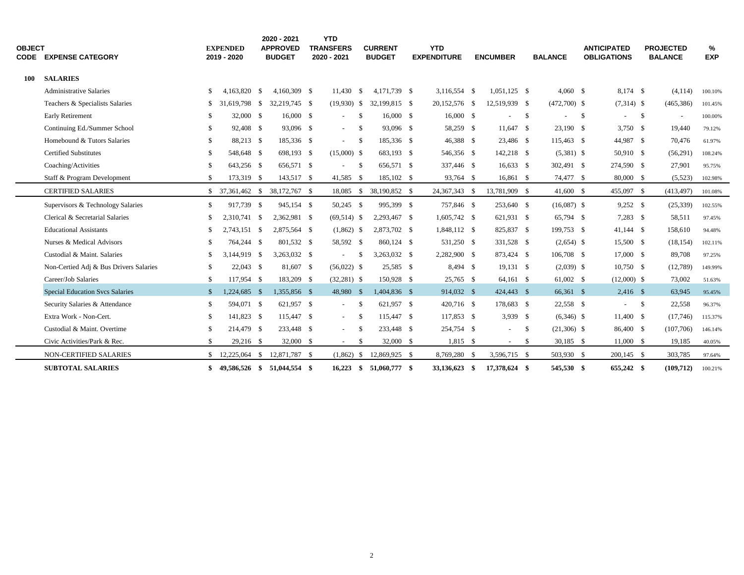| <b>OBJECT</b> | <b>CODE EXPENSE CATEGORY</b>           | <b>EXPENDED</b><br>2019 - 2020 |      | 2020 - 2021<br><b>APPROVED</b><br><b>BUDGET</b> | <b>YTD</b><br><b>TRANSFERS</b><br>2020 - 2021 |                    | <b>CURRENT</b><br><b>BUDGET</b> | <b>YTD</b><br><b>EXPENDITURE</b> | <b>ENCUMBER</b> |      | <b>BALANCE</b> |      | <b>ANTICIPATED</b><br><b>OBLIGATIONS</b> |              | <b>PROJECTED</b><br><b>BALANCE</b> | %<br><b>EXP</b> |  |
|---------------|----------------------------------------|--------------------------------|------|-------------------------------------------------|-----------------------------------------------|--------------------|---------------------------------|----------------------------------|-----------------|------|----------------|------|------------------------------------------|--------------|------------------------------------|-----------------|--|
| 100           | <b>SALARIES</b>                        |                                |      |                                                 |                                               |                    |                                 |                                  |                 |      |                |      |                                          |              |                                    |                 |  |
|               | <b>Administrative Salaries</b>         | \$<br>4,163,820 \$             |      | 4,160,309 \$                                    | 11.430                                        | <b>S</b>           | 4.171.739 \$                    | 3,116,554 \$                     | $1,051,125$ \$  |      | $4,060$ \$     |      | 8,174 \$                                 |              | (4, 114)                           | 100.10%         |  |
|               | Teachers & Specialists Salaries        | \$<br>31.619.798 \$            |      | 32,219,745 \$                                   |                                               |                    | $(19,930)$ \$ 32,199,815 \$     | 20,152,576 \$                    | 12,519,939 \$   |      | $(472,700)$ \$ |      | $(7,314)$ \$                             |              | (465, 386)                         | 101.45%         |  |
|               | Early Retirement                       | \$<br>32,000 \$                |      | 16,000 \$                                       |                                               | -S                 | 16,000 \$                       | $16,000$ \$                      |                 | - \$ |                | - \$ |                                          | $\mathbf{s}$ | $\sim$                             | 100.00%         |  |
|               | Continuing Ed./Summer School           | \$<br>92,408 \$                |      | 93,096 \$                                       | $\sim$                                        | $\mathbf{\hat{s}}$ | 93,096 \$                       | 58,259 \$                        | 11.647 \$       |      | 23,190 \$      |      | 3.750S                                   |              | 19.440                             | 79.12%          |  |
|               | Homebound & Tutors Salaries            | \$<br>88,213 \$                |      | 185,336 \$                                      |                                               | - \$               | 185,336 \$                      | 46,388 \$                        | 23,486 \$       |      | 115,463 \$     |      | 44,987 \$                                |              | 70,476                             | 61.97%          |  |
|               | <b>Certified Substitutes</b>           | \$<br>548,648 \$               |      | 698,193 \$                                      | $(15,000)$ \$                                 |                    | 683,193 \$                      | 546,356 \$                       | 142,218 \$      |      | $(5,381)$ \$   |      | 50,910 \$                                |              | (56,291)                           | 108.24%         |  |
|               | Coaching/Activities                    | \$<br>643,256 \$               |      | 656,571 \$                                      |                                               | -S                 | 656,571 \$                      | 337,446 \$                       | $16,633$ \$     |      | 302,491 \$     |      | 274,590 \$                               |              | 27,901                             | 95.75%          |  |
|               | Staff & Program Development            | \$<br>173,319 \$               |      | 143,517 \$                                      | 41,585 \$                                     |                    | 185,102 \$                      | 93,764 \$                        | 16,861 \$       |      | 74,477 \$      |      | 80,000 \$                                |              | (5,523)                            | 102.98%         |  |
|               | <b>CERTIFIED SALARIES</b>              | $$37,361,462$ \$               |      | 38,172,767 \$                                   | 18,085                                        | <sup>\$</sup>      | 38,190,852 \$                   | 24,367,343 \$                    | 13,781,909 \$   |      | 41,600 \$      |      | 455,097 \$                               |              | (413, 497)                         | 101.08%         |  |
|               | Supervisors & Technology Salaries      | \$<br>917,739 \$               |      | 945,154 \$                                      | 50,245 \$                                     |                    | 995,399 \$                      | 757,846 \$                       | 253,640 \$      |      | $(16,087)$ \$  |      | $9,252$ \$                               |              | (25, 339)                          | 102.55%         |  |
|               | Clerical & Secretarial Salaries        | \$<br>2,310,741                | - \$ | 2,362,981 \$                                    | $(69,514)$ \$                                 |                    | 2,293,467 \$                    | 1,605,742 \$                     | 621,931 \$      |      | 65,794 \$      |      | $7,283$ \$                               |              | 58,511                             | 97.45%          |  |
|               | <b>Educational Assistants</b>          | \$<br>2.743.151 \$             |      | 2,875,564 \$                                    | $(1,862)$ \$                                  |                    | 2,873,702 \$                    | 1,848,112 \$                     | 825,837 \$      |      | 199,753 \$     |      | 41,144 \$                                |              | 158,610                            | 94.48%          |  |
|               | Nurses & Medical Advisors              | \$<br>764,244 \$               |      | 801,532 \$                                      | 58,592 \$                                     |                    | 860,124 \$                      | 531,250 \$                       | 331,528 \$      |      | $(2,654)$ \$   |      | 15,500 \$                                |              | (18, 154)                          | 102.11%         |  |
|               | Custodial & Maint. Salaries            | \$<br>3.144.919 \$             |      | 3,263,032 \$                                    | $\sim$                                        | -S                 | 3,263,032 \$                    | 2,282,900 \$                     | 873,424 \$      |      | 106,708 \$     |      | 17,000 \$                                |              | 89,708                             | 97.25%          |  |
|               | Non-Certied Adj & Bus Drivers Salaries | \$<br>$22,043$ \$              |      | 81,607 \$                                       | $(56,022)$ \$                                 |                    | 25,585 \$                       | 8,494 \$                         | 19,131 \$       |      | $(2,039)$ \$   |      | $10,750$ \$                              |              | (12,789)                           | 149.99%         |  |
|               | Career/Job Salaries                    | \$<br>117,954 \$               |      | 183,209 \$                                      | $(32,281)$ \$                                 |                    | 150,928 \$                      | 25,765 \$                        | 64,161 \$       |      | 61,002 \$      |      | $(12,000)$ \$                            |              | 73,002                             | 51.63%          |  |
|               | <b>Special Education Svcs Salaries</b> | \$<br>1,224,685 \$             |      | 1,355,856 \$                                    | 48,980 \$                                     |                    | 1,404,836 \$                    | 914,032 \$                       | 424,443 \$      |      | 66,361 \$      |      | $2,416$ \$                               |              | 63,945                             | 95.45%          |  |
|               | Security Salaries & Attendance         | \$<br>594,071 \$               |      | 621,957 \$                                      | $\sim$                                        | -S                 | 621.957 \$                      | 420,716 \$                       | 178,683 \$      |      | 22,558 \$      |      | $-$ \$                                   |              | 22,558                             | 96.37%          |  |
|               | Extra Work - Non-Cert.                 | \$<br>141,823 \$               |      | 115,447 \$                                      | $\sim$                                        | -S                 | 115,447 \$                      | 117,853 \$                       | $3,939$ \$      |      | $(6,346)$ \$   |      | 11,400 \$                                |              | (17,746)                           | 115.37%         |  |
|               | Custodial & Maint. Overtime            | \$<br>214,479 \$               |      | 233,448 \$                                      |                                               | -S                 | 233,448 \$                      | 254,754 \$                       |                 | -S   | $(21,306)$ \$  |      | 86,400 \$                                |              | (107,706)                          | 146.14%         |  |
|               | Civic Activities/Park & Rec.           | \$<br>29,216 \$                |      | 32,000 \$                                       | $\sim$                                        | -\$                | 32,000 \$                       | $1,815$ \$                       | $\sim$          | \$   | $30,185$ \$    |      | 11,000 \$                                |              | 19,185                             | 40.05%          |  |
|               | <b>NON-CERTIFIED SALARIES</b>          | \$<br>12,225,064 \$            |      | 12,871,787 \$                                   | (1,862)                                       | \$                 | 12,869,925 \$                   | 8,769,280 \$                     | 3,596,715 \$    |      | 503,930 \$     |      | 200,145 \$                               |              | 303,785                            | 97.64%          |  |
|               | <b>SUBTOTAL SALARIES</b>               | \$<br>49,586,526 \$            |      | 51,044,554 \$                                   | 16,223                                        | \$                 | 51,060,777 \$                   | 33,136,623 \$                    | 17,378,624 \$   |      | 545,530 \$     |      | 655,242 \$                               |              | (109, 712)                         | 100.21%         |  |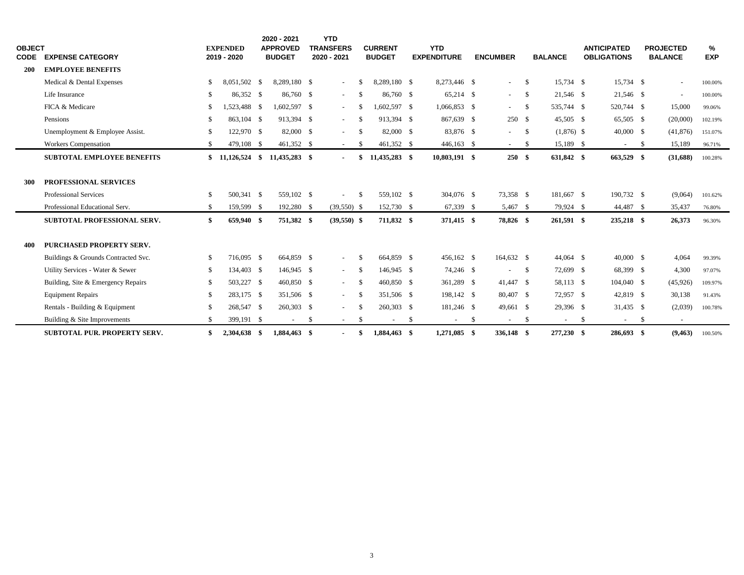| <b>OBJECT</b> |                                     |               | <b>EXPENDED</b>  | 2020 - 2021<br><b>APPROVED</b> | <b>YTD</b><br><b>TRANSFERS</b> |      | <b>CURRENT</b> |     | <b>YTD</b>               |     |                          |              |                |      | <b>ANTICIPATED</b>       |      | <b>PROJECTED</b>         | %          |
|---------------|-------------------------------------|---------------|------------------|--------------------------------|--------------------------------|------|----------------|-----|--------------------------|-----|--------------------------|--------------|----------------|------|--------------------------|------|--------------------------|------------|
| <b>CODE</b>   | <b>EXPENSE CATEGORY</b>             |               | 2019 - 2020      | <b>BUDGET</b>                  | 2020 - 2021                    |      | <b>BUDGET</b>  |     | <b>EXPENDITURE</b>       |     | <b>ENCUMBER</b>          |              | <b>BALANCE</b> |      | <b>OBLIGATIONS</b>       |      | <b>BALANCE</b>           | <b>EXP</b> |
| <b>200</b>    | <b>EMPLOYEE BENEFITS</b>            |               |                  |                                |                                |      |                |     |                          |     |                          |              |                |      |                          |      |                          |            |
|               | Medical & Dental Expenses           | <sup>\$</sup> | 8.051.502 \$     | 8.289.180 \$                   | $\blacksquare$                 | - \$ | 8.289.180 \$   |     | 8.273.446 \$             |     | $\sim$                   | <sup>S</sup> | 15.734 \$      |      | 15.734 \$                |      | $\sim$                   | 100.00%    |
|               | Life Insurance                      | -S            | 86,352 \$        | 86,760 \$                      | $\sim$                         | - \$ | 86,760 \$      |     | 65,214 \$                |     | $\sim$                   | \$           | 21,546 \$      |      | 21,546 \$                |      |                          | 100.00%    |
|               | FICA & Medicare                     | <sup>\$</sup> | 1,523,488 \$     | 1.602.597 \$                   | ÷.                             | -S   | 1.602.597 \$   |     | 1.066.853 \$             |     | $\sim$                   | -S           | 535,744 \$     |      | 520,744 \$               |      | 15,000                   | 99.06%     |
|               | Pensions                            | -\$           | 863,104 \$       | 913,394 \$                     | $\sim$                         | - \$ | 913.394 \$     |     | 867,639 \$               |     | 250S                     |              | 45,505 \$      |      | 65,505 \$                |      | (20,000)                 | 102.19%    |
|               | Unemployment & Employee Assist.     | -\$           | 122,970 \$       | 82,000 \$                      | $\overline{a}$                 | - \$ | 82,000 \$      |     | 83,876 \$                |     | $\sim$                   | -S           | $(1,876)$ \$   |      | $40,000$ \$              |      | (41, 876)                | 151.07%    |
|               | <b>Workers Compensation</b>         | -\$           | 479,108 \$       | 461,352 \$                     | $\sim$                         | -S   | 461,352 \$     |     | $446,163$ \$             |     | $\sim$                   | \$           | 15,189 \$      |      | $\overline{\phantom{a}}$ | - \$ | 15,189                   | 96.71%     |
|               | <b>SUBTOTAL EMPLOYEE BENEFITS</b>   |               | $$11,126,524$ \$ | 11,435,283 \$                  | $\blacksquare$                 | -\$  | 11,435,283 \$  |     | 10,803,191 \$            |     | 250S                     |              | 631,842 \$     |      | 663,529 \$               |      | (31,688)                 | 100.28%    |
|               |                                     |               |                  |                                |                                |      |                |     |                          |     |                          |              |                |      |                          |      |                          |            |
| 300           | PROFESSIONAL SERVICES               |               |                  |                                |                                |      |                |     |                          |     |                          |              |                |      |                          |      |                          |            |
|               | <b>Professional Services</b>        | -\$           | 500.341 \$       | 559,102 \$                     |                                | -S   | 559,102 \$     |     | 304,076 \$               |     | 73,358 \$                |              | 181,667 \$     |      | 190,732 \$               |      | (9,064)                  | 101.62%    |
|               | Professional Educational Serv.      | -\$           | 159,599 \$       | 192,280 \$                     | $(39,550)$ \$                  |      | 152,730 \$     |     | 67,339 \$                |     | 5,467 \$                 |              | 79,924 \$      |      | 44,487 \$                |      | 35,437                   | 76.80%     |
|               | SUBTOTAL PROFESSIONAL SERV.         | \$            | 659,940 \$       | 751,382 \$                     | $(39,550)$ \$                  |      | 711,832 \$     |     | 371,415 \$               |     | 78,826 \$                |              | 261,591 \$     |      | 235,218 \$               |      | 26,373                   | 96.30%     |
|               |                                     |               |                  |                                |                                |      |                |     |                          |     |                          |              |                |      |                          |      |                          |            |
| 400           | <b>PURCHASED PROPERTY SERV.</b>     |               |                  |                                |                                |      |                |     |                          |     |                          |              |                |      |                          |      |                          |            |
|               | Buildings & Grounds Contracted Svc. | -\$           | 716,095 \$       | 664,859 \$                     | $\sim$                         | - \$ | 664,859 \$     |     | 456,162 \$               |     | 164,632 \$               |              | 44,064 \$      |      | 40,000 \$                |      | 4,064                    | 99.39%     |
|               | Utility Services - Water & Sewer    | -\$           | 134,403 \$       | 146,945 \$                     | $\sim$                         | -\$  | 146,945 \$     |     | 74,246 \$                |     | $\overline{\phantom{a}}$ | \$           | 72,699 \$      |      | 68,399 \$                |      | 4,300                    | 97.07%     |
|               | Building, Site & Emergency Repairs  | -\$           | 503,227 \$       | 460,850 \$                     | $\sim$                         | -\$  | 460,850 \$     |     | 361,289 \$               |     | 41,447 \$                |              | 58,113 \$      |      | 104,040 \$               |      | (45,926)                 | 109.97%    |
|               | <b>Equipment Repairs</b>            | -\$           | 283,175 \$       | 351,506 \$                     | $\overline{\phantom{a}}$       | -\$  | 351,506 \$     |     | 198,142 \$               |     | 80,407 \$                |              | 72,957 \$      |      | 42,819 \$                |      | 30,138                   | 91.43%     |
|               | Rentals - Building & Equipment      | S.            | 268,547 \$       | 260,303 \$                     |                                | - \$ | 260,303 \$     |     | 181,246 \$               |     | 49,661 \$                |              | 29,396 \$      |      | 31,435 \$                |      | (2,039)                  | 100.78%    |
|               | Building & Site Improvements        | -\$           | 399,191 \$       | $\sim$                         | \$<br>$\sim$                   | - \$ | $\sim$         | -\$ | $\overline{\phantom{a}}$ | -\$ | $\sim$                   | \$           | $\sim$         | - \$ | $\sim$                   | - \$ | $\overline{\phantom{0}}$ |            |
|               | <b>SUBTOTAL PUR. PROPERTY SERV.</b> | \$            | 2,304,638 \$     | 1,884,463 \$                   | $\blacksquare$                 | - \$ | 1,884,463 \$   |     | $1,271,085$ \$           |     | 336,148 \$               |              | 277,230 \$     |      | 286,693 \$               |      | (9, 463)                 | 100.50%    |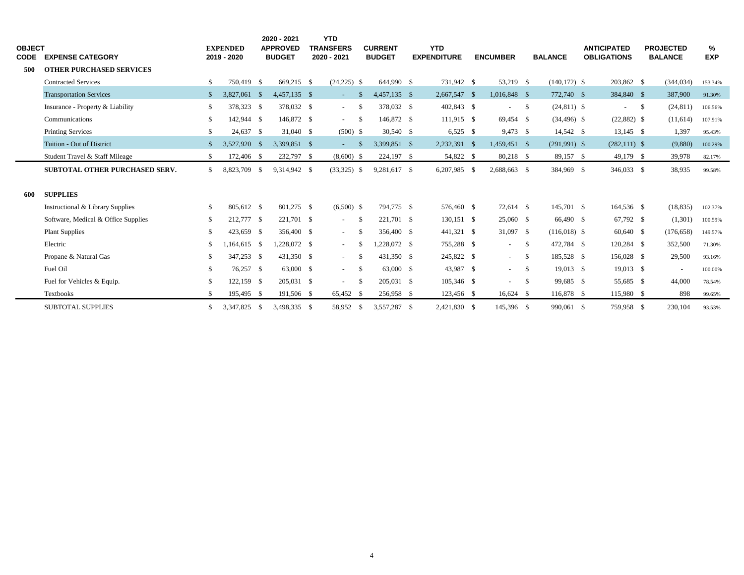| <b>OBJECT</b><br>CODE | <b>EXPENSE CATEGORY</b>             |               | <b>EXPENDED</b><br>2019 - 2020 |      | 2020 - 2021<br><b>APPROVED</b><br><b>BUDGET</b> | <b>YTD</b><br><b>TRANSFERS</b><br>2020 - 2021 |               | <b>CURRENT</b><br><b>BUDGET</b> | <b>YTD</b><br><b>EXPENDITURE</b> | <b>ENCUMBER</b> |               | <b>BALANCE</b>  | <b>ANTICIPATED</b><br><b>OBLIGATIONS</b> |      | <b>PROJECTED</b><br><b>BALANCE</b> | %<br><b>EXP</b> |  |
|-----------------------|-------------------------------------|---------------|--------------------------------|------|-------------------------------------------------|-----------------------------------------------|---------------|---------------------------------|----------------------------------|-----------------|---------------|-----------------|------------------------------------------|------|------------------------------------|-----------------|--|
| 500                   | <b>OTHER PURCHASED SERVICES</b>     |               |                                |      |                                                 |                                               |               |                                 |                                  |                 |               |                 |                                          |      |                                    |                 |  |
|                       | <b>Contracted Services</b>          | S.            | 750.419 \$                     |      | 669.215 \$                                      | $(24,225)$ \$                                 |               | 644,990 \$                      | 731,942 \$                       | 53,219 \$       |               | $(140, 172)$ \$ | 203,862 \$                               |      | (344, 034)                         | 153.34%         |  |
|                       | <b>Transportation Services</b>      | <sup>\$</sup> | 3,827,061 \$                   |      | 4,457,135 \$                                    | $\sim 10$                                     | -S            | 4,457,135 \$                    | 2,667,547 \$                     | 1,016,848 \$    |               | 772,740 \$      | 384,840 \$                               |      | 387,900                            | 91.30%          |  |
|                       | Insurance - Property & Liability    | \$            | 378,323 \$                     |      | 378,032 \$                                      | $\sim 100$                                    | <sup>\$</sup> | 378,032 \$                      | 402,843 \$                       | $\blacksquare$  | - \$          | $(24,811)$ \$   | $\sim$                                   | - \$ | (24, 811)                          | 106.56%         |  |
|                       | Communications                      | \$            | 142,944 \$                     |      | 146,872 \$                                      | $\sim 100$                                    | - \$          | 146,872 \$                      | 111.915 \$                       | 69,454 \$       |               | $(34, 496)$ \$  | $(22,882)$ \$                            |      | (11,614)                           | 107.91%         |  |
|                       | <b>Printing Services</b>            | \$            | 24,637 \$                      |      | 31,040 \$                                       | $(500)$ \$                                    |               | 30,540 \$                       | $6,525$ \$                       | 9,473 \$        |               | 14,542 \$       | $13,145$ \$                              |      | 1,397                              | 95.43%          |  |
|                       | Tuition - Out of District           | $\mathcal{S}$ | 3,527,920                      | - \$ | 3,399,851 \$                                    | $\omega_{\rm{max}}$                           | -\$           | 3,399,851 \$                    | 2,232,391 \$                     | 1,459,451 \$    |               | $(291,991)$ \$  | $(282,111)$ \$                           |      | (9,880)                            | 100.29%         |  |
|                       | Student Travel & Staff Mileage      | \$            | 172,406 \$                     |      | 232,797 \$                                      | $(8,600)$ \$                                  |               | 224,197 \$                      | 54,822 \$                        | 80,218 \$       |               | 89,157 \$       | 49,179 \$                                |      | 39,978                             | 82.17%          |  |
|                       | SUBTOTAL OTHER PURCHASED SERV.      | S.            | 8,823,709                      | - \$ | 9,314,942 \$                                    | $(33,325)$ \$                                 |               | 9,281,617 \$                    | 6,207,985 \$                     | 2,688,663 \$    |               | 384,969 \$      | 346,033 \$                               |      | 38,935                             | 99.58%          |  |
| 600                   | <b>SUPPLIES</b>                     |               |                                |      |                                                 |                                               |               |                                 |                                  |                 |               |                 |                                          |      |                                    |                 |  |
|                       | Instructional & Library Supplies    | -S            | 805,612 \$                     |      | 801,275 \$                                      | $(6,500)$ \$                                  |               | 794,775 \$                      | 576,460 \$                       | 72,614 \$       |               | 145,701 \$      | 164,536 \$                               |      | (18, 835)                          | 102.37%         |  |
|                       | Software, Medical & Office Supplies | \$            | 212,777 \$                     |      | 221,701 \$                                      | $\sim$                                        | - \$          | 221,701 \$                      | 130,151 \$                       | 25,060 \$       |               | 66,490 \$       | 67,792 \$                                |      | (1,301)                            | 100.59%         |  |
|                       | <b>Plant Supplies</b>               | S.            | 423,659 \$                     |      | 356,400 \$                                      | $\sim$                                        | -S            | 356,400 \$                      | 441,321 \$                       | $31,097$ \$     |               | $(116,018)$ \$  | 60,640 \$                                |      | (176, 658)                         | 149.57%         |  |
|                       | Electric                            | \$            | $1,164,615$ \$                 |      | 1,228,072 \$                                    | $\sim 10$                                     | - \$          | $,228,072$ \$                   | 755,288 \$                       | $\sim$          | - \$          | 472,784 \$      | 120,284 \$                               |      | 352,500                            | 71.30%          |  |
|                       | Propane & Natural Gas               | S.            | 347,253 \$                     |      | 431,350 \$                                      | $\sim 100$                                    | -S            | 431,350 \$                      | 245,822 \$                       | $\sim$          | $\mathcal{S}$ | 185,528 \$      | 156,028 \$                               |      | 29,500                             | 93.16%          |  |
|                       | Fuel Oil                            | \$            | 76,257 \$                      |      | 63,000 \$                                       | $\sim 100$                                    | - \$          | 63,000 \$                       | 43,987 \$                        | $\sim$          | - \$          | $19,013$ \$     | $19,013$ \$                              |      | $\sim$                             | 100.00%         |  |
|                       | Fuel for Vehicles & Equip.          | \$            | 122,159                        | - \$ | 205,031 \$                                      | $\sim$                                        | - \$          | 205,031 \$                      | 105,346 \$                       | $\sim$          | - \$          | 99,685 \$       | 55,685 \$                                |      | 44,000                             | 78.54%          |  |
|                       | Textbooks                           |               | 195,495 \$                     |      | 191,506 \$                                      | 65,452 \$                                     |               | 256,958 \$                      | 123,456 \$                       | 16,624 \$       |               | 116,878 \$      | 115,980 \$                               |      | 898                                | 99.65%          |  |
|                       | <b>SUBTOTAL SUPPLIES</b>            | \$            | 3,347,825 \$                   |      | 3,498,335 \$                                    | 58,952 \$                                     |               | 3,557,287 \$                    | 2,421,830 \$                     | 145,396 \$      |               | 990,061 \$      | 759,958 \$                               |      | 230,104                            | 93.53%          |  |